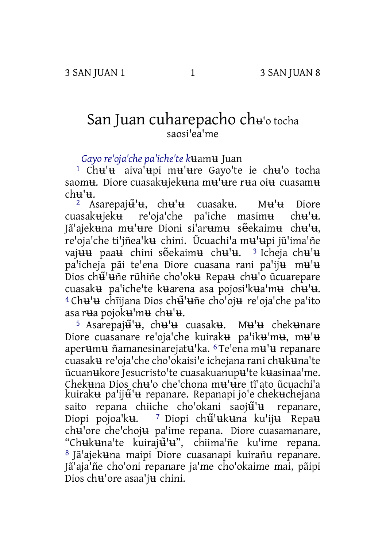## San Juan cuharepacho ch<sup>ʉ</sup>'o tocha saosi'ea'me

*Gayo re'oja'che pa'iche'te k*ʉamʉ Juan

1 Chʉ'ʉ aiva'ʉpi mʉ'ʉre Gayo'te ie chʉ'o tocha saom**u**. Diore cuasakujekuna mu'ure rua oiu cuasamu  $ch$  $\mathbf{H}$ <sup>' $\mathbf{H}$ </sup>

<sup>2</sup> Asarepaj $\ddot{\mathbf{u}}$ <sup>'</sup> $\mathbf{u}$ , ch $\mathbf{u}$ ' $\mathbf{u}$  cuasak $\mathbf{u}$  cuasak $\mathbf{u}$ ieku re'oja'che pa'iche masim $\mathbf{u}$  ch $\mathbf{u}$ ' $\mathbf{u}$ . re'oja'che pa'iche masim**u** ch**u'u**. Jã'ajekʉna mʉ'ʉre Dioni si'arʉmʉ sẽekaimʉ chʉ'ʉ, re'oja'che ti'jñea'kʉ chini. Ũcuachi'a mʉ'ʉpi jũ'ima'ñe vaj<del>uu</del> paa<del>u</del> chini sẽekaim<del>u</del> ch<del>u</del>'<del>u</del>. <sup>3</sup>Icheja ch**u'**u pa'icheja pãi te'ena Diore cuasana rani pa'iju mu'u Dios chʉ̃'ʉñe rũhiñe cho'okʉ Repaʉ chʉ'o ũcuarepare cuasakʉ pa'iche'te kʉarena asa pojosi'kʉa'mʉ chʉ'ʉ. <sup>4</sup> Ch**u'**u chĩijana Dios ch<del>ũ</del>'uñe cho'oju re'oja'che pa'ito asa rʉa pojokʉ'mʉ chʉ'ʉ.

5 Asarepaj $\mathbf{\tilde{u}}'$ **u**, ch $\mathbf{u}'$ u cuasak**u**. Mu'u chekunare Diore cuasanare re'oja'che kuirakʉ pa'ikʉ'mʉ, mʉ'ʉ aperʉmʉ ñamanesinarejatʉ'ka. 6 Te'ena mʉ'ʉ repanare cuasakʉ re'oja'che cho'okaisi'e ichejana rani chʉkʉna'te ũcuanʉkore Jesucristo'te cuasakuanupʉ'te kʉasinaa'me. Chekʉna Dios chʉ'o che'chona mʉ'ʉre tĩ'ato ũcuachi'a kuiraku pa'ijũ'u repanare. Repanapi jo'e chekuchejana saito repana chiiche cho'okani saoju u repanare, Diopi pojoa'kʉ. <sup>7</sup> Diopi ch**ূ**ʻukuna ku'iju Repau chʉ'ore che'chojʉ pa'ime repana. Diore cuasamanare, "Chʉkʉna'te kuirajʉ̃'ʉ", chiima'ñe ku'ime repana. 8 Jã'ajekʉna maipi Diore cuasanapi kuirañu repanare. Jã'aja'ñe cho'oni repanare ja'me cho'okaime mai, pãipi Dios chʉ'ore asaa'jʉ chini.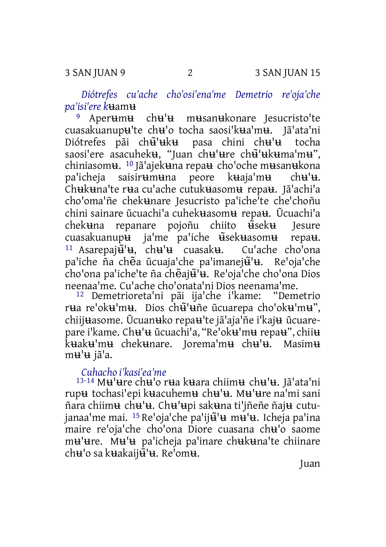*Diótrefes cu'ache cho'osi'ena'me Demetrio re'oja'che pa'isi'ere k*ʉamʉ

9 Aperʉmʉ chʉ'ʉ mʉsanʉkonare Jesucristo'te cuasakuanupu'te chu'o tocha saosi'kua'mu. Jã'ata'ni<br>Diótrefes pãi ch<del>ũ</del>'uku pasa chini chu'u tocha Diótrefes pãi chʉ̃'ʉkʉ pasa chini chʉ'ʉ tocha saosi'ere asacuheku, "Juan chu'ure chu'ukuma'mu", chiniasomʉ. 10 Jã'ajekʉna repaʉ cho'oche mʉsanʉkona pa'icheja saisirʉmʉna peore kʉaja'mʉ chʉ'ʉ. Chʉkʉna'te rʉa cu'ache cutukʉasomʉ repaʉ. Jã'achi'a cho'oma'ñe chekʉnare Jesucristo pa'iche'te che'choñu chini sainare ũcuachi'a cuhekʉasomʉ repaʉ. Ũcuachi'a chekʉna repanare pojoñu chiito ʉ̃sekʉ Jesure cuasakuanupʉ ja'me pa'iche ʉ̃sekʉasomʉ repaʉ. <sup>11</sup> Asarepaj $\tilde{\mathbf{u}}^{\mathsf{T}}\mathbf{u}$ , ch $\mathbf{u}^{\mathsf{T}}\mathbf{u}$  cuasak $\mathbf{u}$ . Cu'ache cho<sup>t</sup>ona pa'iche ña chẽa ũcuaja'che pa'imanej $\tilde{H}^{\dagger}$ u. Re'oja'che cho'ona pa'iche'te ña chẽajʉ̃'ʉ. Re'oja'che cho'ona Dios neenaa'me. Cu'ache cho'onata'ni Dios neenama'me.

12 Demetrioreta'ni pãi ija'che i'kame: "Demetrio rʉa re'okʉ'mʉ. Dios chʉ̃'ʉñe ũcuarepa cho'okʉ'mʉ", chiijʉasome. Ũcuanʉko repaʉ'te jã'aja'ñe i'kajʉ ũcuarepare i'kame. Chʉ'ʉ ũcuachi'a, "Re'okʉ'mʉ repaʉ", chiiʉ kʉakʉ'mʉ chekʉnare. Jorema'mʉ chʉ'ʉ. Masimʉ mʉ'ʉ jã'a.

## *Cuhacho i'kasi'ea'me*

13-14 Mʉ'ʉre chʉ'o rʉa kʉara chiimʉ chʉ'ʉ. Jã'ata'ni rupʉ tochasi'epi kʉacuhemʉ chʉ'ʉ. Mʉ'ʉre na'mi sani ñara chiimʉ chʉ'ʉ. Chʉ'ʉpi sakʉna ti'jñeñe ñajʉ cutujanaa'me mai. <sup>15</sup> Re'oja'che pa'ij<del>ũ</del>'u mu'u. Icheja pa'ina maire re'oja'che cho'ona Diore cuasana chʉ'o saome mʉ'ʉre. Mʉ'ʉ pa'icheja pa'inare chʉkʉna'te chiinare ch**u'**o sa kuakaij<del>ũ</del>'u. Re'omu.

Juan